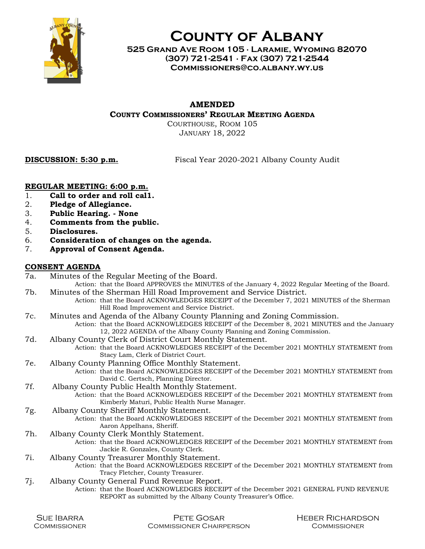

# County of Albany

525 Grand Ave Room 105 ∙ Laramie, Wyoming 82070 (307) 721-2541 ∙ Fax (307) 721-2544 Commissioners@co.albany.wy.us

## AMENDED

COUNTY COMMISSIONERS' REGULAR MEETING AGENDA

COURTHOUSE, ROOM 105 JANUARY 18, 2022

DISCUSSION: 5:30 p.m. Fiscal Year 2020-2021 Albany County Audit

### REGULAR MEETING: 6:00 p.m.

- 1. Call to order and roll cal1.
- 2. Pledge of Allegiance.
- 3. Public Hearing. None
- 4. Comments from the public.
- 5. Disclosures.
- 6. Consideration of changes on the agenda.
- 7. Approval of Consent Agenda.

#### CONSENT AGENDA

| 7a. | Minutes of the Regular Meeting of the Board.            |
|-----|---------------------------------------------------------|
|     | Action: that the Board APPROVES the MINITES of the Janu |

- Action: that the Board APPROVES the MINUTES of the January 4, 2022 Regular Meeting of the Board. 7b. Minutes of the Sherman Hill Road Improvement and Service District.
	- Action: that the Board ACKNOWLEDGES RECEIPT of the December 7, 2021 MINUTES of the Sherman Hill Road Improvement and Service District.
- 7c. Minutes and Agenda of the Albany County Planning and Zoning Commission.
	- Action: that the Board ACKNOWLEDGES RECEIPT of the December 8, 2021 MINUTES and the January 12, 2022 AGENDA of the Albany County Planning and Zoning Commission.
- 7d. Albany County Clerk of District Court Monthly Statement.

Action: that the Board ACKNOWLEDGES RECEIPT of the December 2021 MONTHLY STATEMENT from Stacy Lam, Clerk of District Court.

7e. Albany County Planning Office Monthly Statement.

Action: that the Board ACKNOWLEDGES RECEIPT of the December 2021 MONTHLY STATEMENT from David C. Gertsch, Planning Director.

7f. Albany County Public Health Monthly Statement.

Action: that the Board ACKNOWLEDGES RECEIPT of the December 2021 MONTHLY STATEMENT from Kimberly Maturi, Public Health Nurse Manager.

- 7g. Albany County Sheriff Monthly Statement.
	- Action: that the Board ACKNOWLEDGES RECEIPT of the December 2021 MONTHLY STATEMENT from Aaron Appelhans, Sheriff.
- 7h. Albany County Clerk Monthly Statement.

Action: that the Board ACKNOWLEDGES RECEIPT of the December 2021 MONTHLY STATEMENT from Jackie R. Gonzales, County Clerk.

- 7i. Albany County Treasurer Monthly Statement.
	- Action: that the Board ACKNOWLEDGES RECEIPT of the December 2021 MONTHLY STATEMENT from Tracy Fletcher, County Treasurer.
- 7j. Albany County General Fund Revenue Report.
- Action: that the Board ACKNOWLEDGES RECEIPT of the December 2021 GENERAL FUND REVENUE REPORT as submitted by the Albany County Treasurer's Office.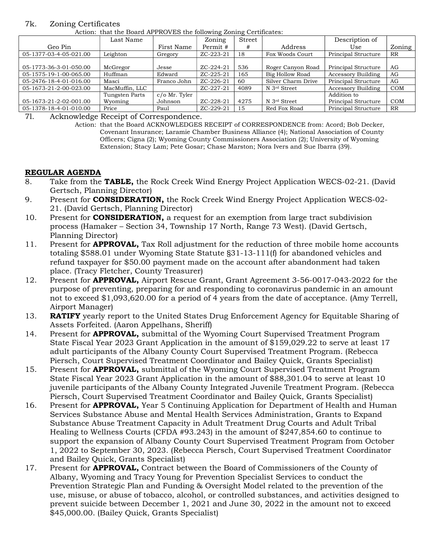#### 7k. Zoning Certificates

Action: that the Board APPROVES the following Zoning Certificates:

| $- - - - -$            |                |               |           |        |                    |                     |            |  |  |
|------------------------|----------------|---------------|-----------|--------|--------------------|---------------------|------------|--|--|
|                        | Last Name      |               | Zoning    | Street |                    | Description of      |            |  |  |
| Geo Pin                |                | First Name    | Permit #  | #      | Address            | Use                 | Zoning     |  |  |
| 05-1377-03-4-05-021.00 | Leighton       | Gregory       | ZC-223-21 | 18     | Fox Woods Court    | Principal Structure | RR         |  |  |
|                        |                |               |           |        |                    |                     |            |  |  |
| 05-1773-36-3-01-050.00 | McGregor       | Jesse         | ZC-224-21 | 536    | Roger Canyon Road  | Principal Structure | AG         |  |  |
| 05-1575-19-1-00-065.00 | Huffman        | Edward        | ZC-225-21 | 165    | Big Hollow Road    | Accessory Building  | AG         |  |  |
| 05-2476-18-4-01-016.00 | Masci          | Franco John   | ZC-226-21 | 60     | Silver Charm Drive | Principal Structure | AG         |  |  |
| 05-1673-21-2-00-023.00 | MacMuffin, LLC |               | ZC-227-21 | 4089   | N 3rd Street       | Accessory Building  | <b>COM</b> |  |  |
|                        | Tungsten Parts | c/o Mr. Tyler |           |        |                    | Addition to         |            |  |  |
| 05-1673-21-2-02-001.00 | Wyoming        | Johnson       | ZC-228-21 | 4275   | N 3rd Street       | Principal Structure | <b>COM</b> |  |  |
| 05-1378-18-4-01-010.00 | Price          | Paul          | ZC-229-21 | 15     | Red Fox Road       | Principal Structure | <b>RR</b>  |  |  |

7l. Acknowledge Receipt of Correspondence.

Action: that the Board ACKNOWLEDGES RECEIPT of CORRESPONDENCE from: Acord; Bob Decker, Covenant Insurance; Laramie Chamber Business Alliance (4); National Association of County Officers; Cigna (2); Wyoming County Commissioners Association (2); University of Wyoming Extension; Stacy Lam; Pete Gosar; Chase Marston; Nora Ivers and Sue Ibarra (39).

#### REGULAR AGENDA

- 8. Take from the **TABLE**, the Rock Creek Wind Energy Project Application WECS-02-21. (David Gertsch, Planning Director)
- 9. Present for **CONSIDERATION**, the Rock Creek Wind Energy Project Application WECS-02-21. (David Gertsch, Planning Director)
- 10. Present for **CONSIDERATION**, a request for an exemption from large tract subdivision process (Hamaker – Section 34, Township 17 North, Range 73 West). (David Gertsch, Planning Director)
- 11. Present for **APPROVAL**, Tax Roll adjustment for the reduction of three mobile home accounts totaling \$588.01 under Wyoming State Statute §31-13-111(f) for abandoned vehicles and refund taxpayer for \$50.00 payment made on the account after abandonment had taken place. (Tracy Fletcher, County Treasurer)
- 12. Present for **APPROVAL**, Airport Rescue Grant, Grant Agreement 3-56-0017-043-2022 for the purpose of preventing, preparing for and responding to coronavirus pandemic in an amount not to exceed \$1,093,620.00 for a period of 4 years from the date of acceptance. (Amy Terrell, Airport Manager)
- 13. RATIFY yearly report to the United States Drug Enforcement Agency for Equitable Sharing of Assets Forfeited. (Aaron Appelhans, Sheriff)
- 14. Present for **APPROVAL**, submittal of the Wyoming Court Supervised Treatment Program State Fiscal Year 2023 Grant Application in the amount of \$159,029.22 to serve at least 17 adult participants of the Albany County Court Supervised Treatment Program. (Rebecca Piersch, Court Supervised Treatment Coordinator and Bailey Quick, Grants Specialist)
- 15. Present for **APPROVAL**, submittal of the Wyoming Court Supervised Treatment Program State Fiscal Year 2023 Grant Application in the amount of \$88,301.04 to serve at least 10 juvenile participants of the Albany County Integrated Juvenile Treatment Program. (Rebecca Piersch, Court Supervised Treatment Coordinator and Bailey Quick, Grants Specialist)
- 16. Present for **APPROVAL**, Year 5 Continuing Application for Department of Health and Human Services Substance Abuse and Mental Health Services Administration, Grants to Expand Substance Abuse Treatment Capacity in Adult Treatment Drug Courts and Adult Tribal Healing to Wellness Courts (CFDA #93.243) in the amount of \$247,854.60 to continue to support the expansion of Albany County Court Supervised Treatment Program from October 1, 2022 to September 30, 2023. (Rebecca Piersch, Court Supervised Treatment Coordinator and Bailey Quick, Grants Specialist)
- 17. Present for **APPROVAL**, Contract between the Board of Commissioners of the County of Albany, Wyoming and Tracy Young for Prevention Specialist Services to conduct the Prevention Strategic Plan and Funding & Oversight Model related to the prevention of the use, misuse, or abuse of tobacco, alcohol, or controlled substances, and activities designed to prevent suicide between December 1, 2021 and June 30, 2022 in the amount not to exceed \$45,000.00. (Bailey Quick, Grants Specialist)